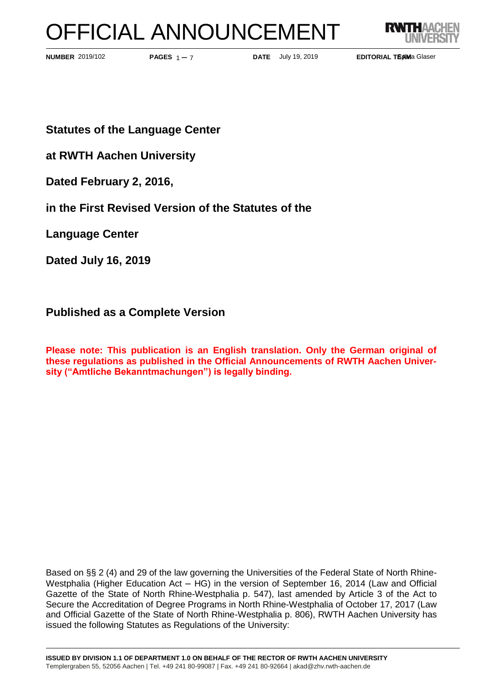# OFFICIAL ANNOUNCEMENT



**PAGES**  $1 - 7$ 

**NUMBER** 2019/102 **PAGES**  $1 - 7$  **DATE** July 19, 2019

**EDITORIAL TEAMa Glaser** 

**Statutes of the Language Center** 

**at RWTH Aachen University**

**Dated February 2, 2016,**

**in the First Revised Version of the Statutes of the**

**Language Center**

**Dated July 16, 2019**

# **Published as a Complete Version**

**Please note: This publication is an English translation. Only the German original of these regulations as published in the Official Announcements of RWTH Aachen University ("Amtliche Bekanntmachungen") is legally binding.**

Based on §§ 2 (4) and 29 of the law governing the Universities of the Federal State of North Rhine-Westphalia (Higher Education Act – HG) in the version of September 16, 2014 (Law and Official Gazette of the State of North Rhine-Westphalia p. 547), last amended by Article 3 of the Act to Secure the Accreditation of Degree Programs in North Rhine-Westphalia of October 17, 2017 (Law and Official Gazette of the State of North Rhine-Westphalia p. 806), RWTH Aachen University has issued the following Statutes as Regulations of the University: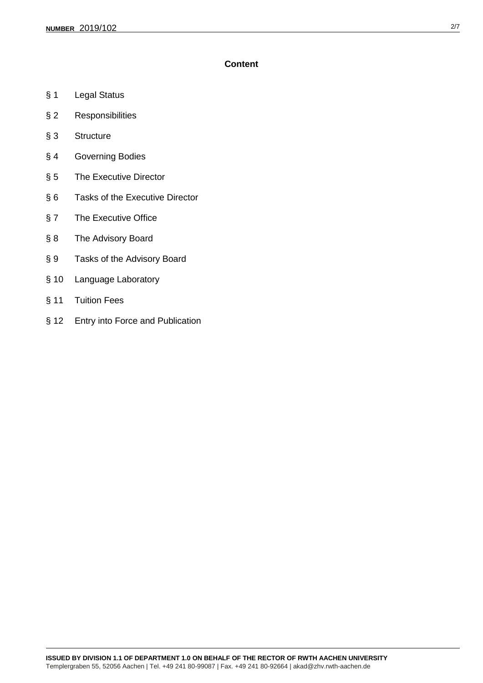# **Content**

- § 1 Legal Status
- § 2 Responsibilities
- § 3 Structure
- § 4 Governing Bodies
- § 5 The Executive Director
- § 6 Tasks of the Executive Director
- § 7 The Executive Office
- § 8 The Advisory Board
- § 9 Tasks of the Advisory Board
- § 10 Language Laboratory
- § 11 Tuition Fees
- § 12 Entry into Force and Publication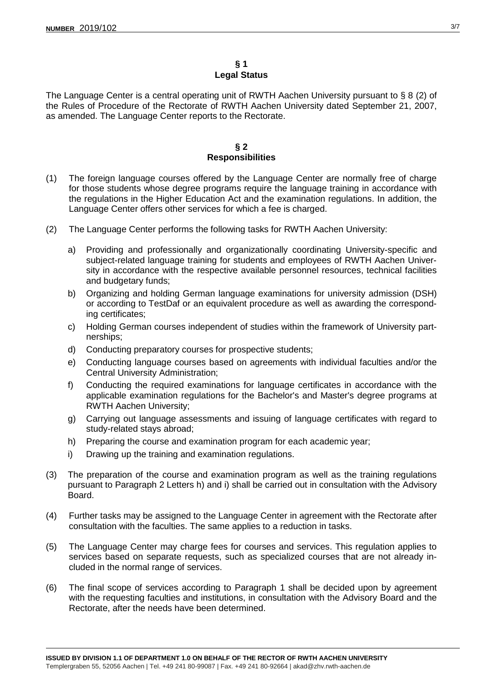## **§ 1 Legal Status**

The Language Center is a central operating unit of RWTH Aachen University pursuant to § 8 (2) of the Rules of Procedure of the Rectorate of RWTH Aachen University dated September 21, 2007, as amended. The Language Center reports to the Rectorate.

#### **§ 2 Responsibilities**

- (1) The foreign language courses offered by the Language Center are normally free of charge for those students whose degree programs require the language training in accordance with the regulations in the Higher Education Act and the examination regulations. In addition, the Language Center offers other services for which a fee is charged.
- (2) The Language Center performs the following tasks for RWTH Aachen University:
	- a) Providing and professionally and organizationally coordinating University-specific and subject-related language training for students and employees of RWTH Aachen University in accordance with the respective available personnel resources, technical facilities and budgetary funds;
	- b) Organizing and holding German language examinations for university admission (DSH) or according to TestDaf or an equivalent procedure as well as awarding the corresponding certificates;
	- c) Holding German courses independent of studies within the framework of University partnerships;
	- d) Conducting preparatory courses for prospective students;
	- e) Conducting language courses based on agreements with individual faculties and/or the Central University Administration;
	- f) Conducting the required examinations for language certificates in accordance with the applicable examination regulations for the Bachelor's and Master's degree programs at RWTH Aachen University;
	- g) Carrying out language assessments and issuing of language certificates with regard to study-related stays abroad;
	- h) Preparing the course and examination program for each academic year;
	- i) Drawing up the training and examination regulations.
- (3) The preparation of the course and examination program as well as the training regulations pursuant to Paragraph 2 Letters h) and i) shall be carried out in consultation with the Advisory **Board**
- (4) Further tasks may be assigned to the Language Center in agreement with the Rectorate after consultation with the faculties. The same applies to a reduction in tasks.
- (5) The Language Center may charge fees for courses and services. This regulation applies to services based on separate requests, such as specialized courses that are not already included in the normal range of services.
- (6) The final scope of services according to Paragraph 1 shall be decided upon by agreement with the requesting faculties and institutions, in consultation with the Advisory Board and the Rectorate, after the needs have been determined.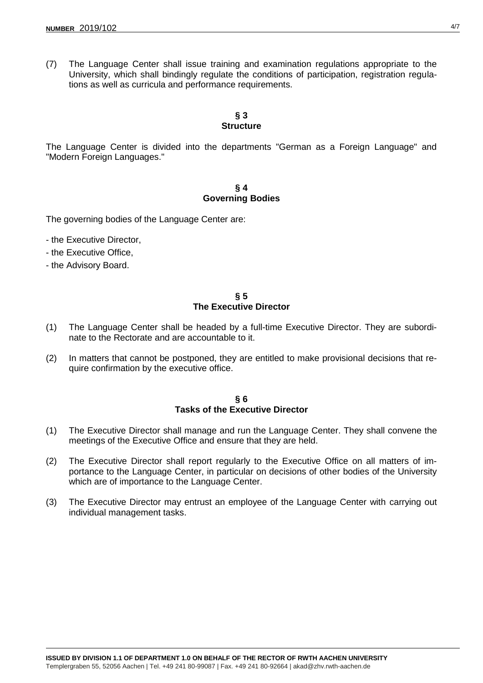(7) The Language Center shall issue training and examination regulations appropriate to the University, which shall bindingly regulate the conditions of participation, registration regulations as well as curricula and performance requirements.

# **§ 3 Structure**

The Language Center is divided into the departments "German as a Foreign Language" and "Modern Foreign Languages."

# **§ 4 Governing Bodies**

The governing bodies of the Language Center are:

- the Executive Director,
- the Executive Office,
- the Advisory Board.

**§ 5 The Executive Director**

- (1) The Language Center shall be headed by a full-time Executive Director. They are subordinate to the Rectorate and are accountable to it.
- (2) In matters that cannot be postponed, they are entitled to make provisional decisions that require confirmation by the executive office.

#### **§ 6 Tasks of the Executive Director**

- (1) The Executive Director shall manage and run the Language Center. They shall convene the meetings of the Executive Office and ensure that they are held.
- (2) The Executive Director shall report regularly to the Executive Office on all matters of importance to the Language Center, in particular on decisions of other bodies of the University which are of importance to the Language Center.
- (3) The Executive Director may entrust an employee of the Language Center with carrying out individual management tasks.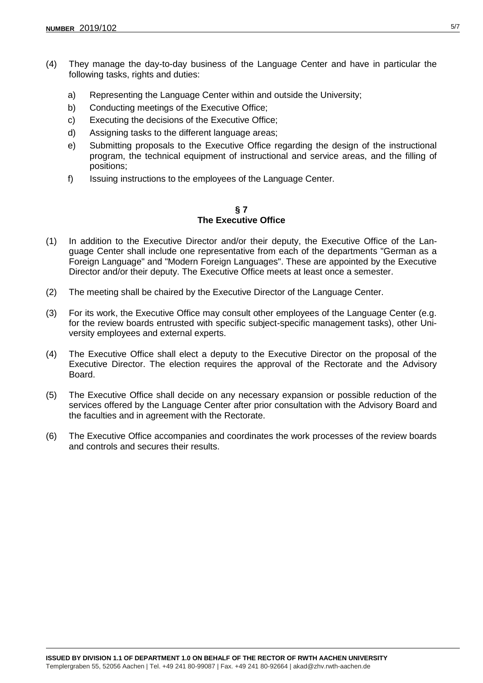- (4) They manage the day-to-day business of the Language Center and have in particular the following tasks, rights and duties:
	- a) Representing the Language Center within and outside the University;
	- b) Conducting meetings of the Executive Office;
	- c) Executing the decisions of the Executive Office;
	- d) Assigning tasks to the different language areas;
	- e) Submitting proposals to the Executive Office regarding the design of the instructional program, the technical equipment of instructional and service areas, and the filling of positions;
	- f) Issuing instructions to the employees of the Language Center.

### **§ 7 The Executive Office**

- (1) In addition to the Executive Director and/or their deputy, the Executive Office of the Language Center shall include one representative from each of the departments "German as a Foreign Language" and "Modern Foreign Languages". These are appointed by the Executive Director and/or their deputy. The Executive Office meets at least once a semester.
- (2) The meeting shall be chaired by the Executive Director of the Language Center.
- (3) For its work, the Executive Office may consult other employees of the Language Center (e.g. for the review boards entrusted with specific subject-specific management tasks), other University employees and external experts.
- (4) The Executive Office shall elect a deputy to the Executive Director on the proposal of the Executive Director. The election requires the approval of the Rectorate and the Advisory Board.
- (5) The Executive Office shall decide on any necessary expansion or possible reduction of the services offered by the Language Center after prior consultation with the Advisory Board and the faculties and in agreement with the Rectorate.
- (6) The Executive Office accompanies and coordinates the work processes of the review boards and controls and secures their results.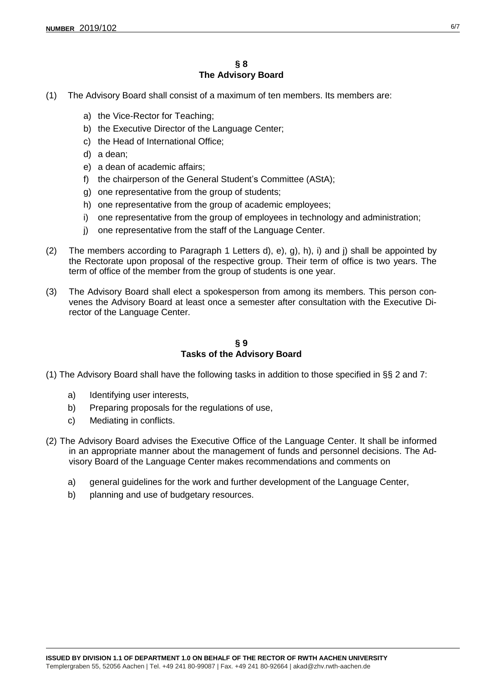- (1) The Advisory Board shall consist of a maximum of ten members. Its members are:
	- a) the Vice-Rector for Teaching;
	- b) the Executive Director of the Language Center;
	- c) the Head of International Office;
	- d) a dean;
	- e) a dean of academic affairs;
	- f) the chairperson of the General Student's Committee (AStA);
	- g) one representative from the group of students;
	- h) one representative from the group of academic employees;
	- i) one representative from the group of employees in technology and administration;
	- j) one representative from the staff of the Language Center.
- (2) The members according to Paragraph 1 Letters d), e), g), h), i) and j) shall be appointed by the Rectorate upon proposal of the respective group. Their term of office is two years. The term of office of the member from the group of students is one year.
- (3) The Advisory Board shall elect a spokesperson from among its members. This person convenes the Advisory Board at least once a semester after consultation with the Executive Director of the Language Center.

**§ 9 Tasks of the Advisory Board**

(1) The Advisory Board shall have the following tasks in addition to those specified in §§ 2 and 7:

- a) Identifying user interests,
- b) Preparing proposals for the regulations of use,
- c) Mediating in conflicts.
- (2) The Advisory Board advises the Executive Office of the Language Center. It shall be informed in an appropriate manner about the management of funds and personnel decisions. The Advisory Board of the Language Center makes recommendations and comments on
	- a) general guidelines for the work and further development of the Language Center,
	- b) planning and use of budgetary resources.